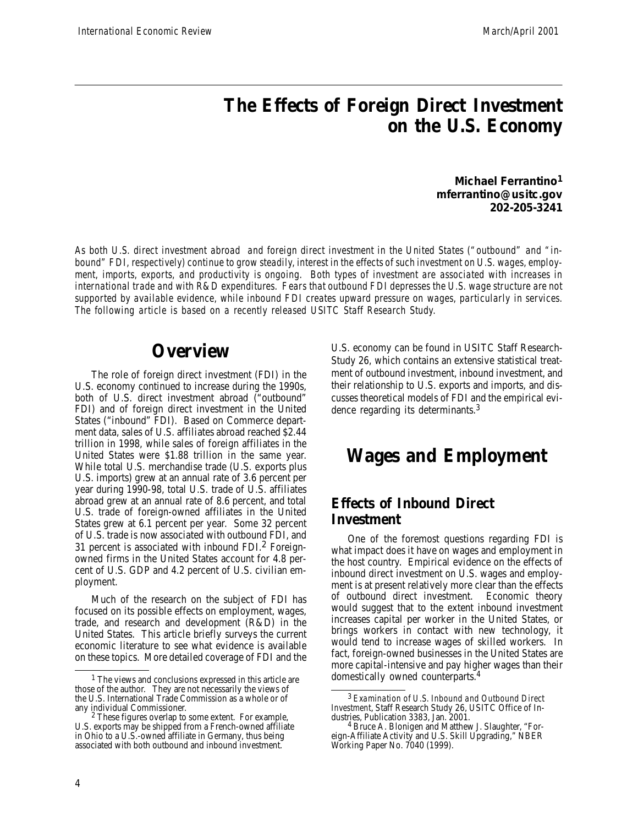## **The Effects of Foreign Direct Investment on the U.S. Economy**

**Michael Ferrantino<sup>1</sup> mferrantino@usitc.gov 202-205-3241**

As both U.S. direct investment abroad and foreign direct investment in the United States ("outbound" and "inbound" FDI, respectively) continue to grow steadily, interest in the effects of such investment on U.S. wages, employ*ment, imports, exports, and productivity is ongoing. Both types of investment are associated with increases in* international trade and with R&D expenditures. Fears that outbound FDI depresses the U.S. wage structure are not *supported by available evidence, while inbound FDI creates upward pressure on wages, particularly in services. The following article is based on a recently released USITC Staff Research Study.*

### **Overview**

The role of foreign direct investment (FDI) in the U.S. economy continued to increase during the 1990s, both of U.S. direct investment abroad ("outbound" FDI) and of foreign direct investment in the United States ("inbound" FDI). Based on Commerce department data, sales of U.S. affiliates abroad reached \$2.44 trillion in 1998, while sales of foreign affiliates in the United States were \$1.88 trillion in the same year. While total U.S. merchandise trade (U.S. exports plus U.S. imports) grew at an annual rate of 3.6 percent per year during 1990-98, total U.S. trade of U.S. affiliates abroad grew at an annual rate of 8.6 percent, and total U.S. trade of foreign-owned affiliates in the United States grew at 6.1 percent per year. Some 32 percent of U.S. trade is now associated with outbound FDI, and 31 percent is associated with inbound FDI. $2$  Foreignowned firms in the United States account for 4.8 percent of U.S. GDP and 4.2 percent of U.S. civilian employment.

Much of the research on the subject of FDI has focused on its possible effects on employment, wages, trade, and research and development (R&D) in the United States. This article briefly surveys the current economic literature to see what evidence is available on these topics. More detailed coverage of FDI and the

U.S. economy can be found in USITC Staff Research-Study 26, which contains an extensive statistical treatment of outbound investment, inbound investment, and their relationship to U.S. exports and imports, and discusses theoretical models of FDI and the empirical evidence regarding its determinants.<sup>3</sup>

### **Wages and Employment**

#### **Effects of Inbound Direct Investment**

One of the foremost questions regarding FDI is what impact does it have on wages and employment in the host country. Empirical evidence on the effects of inbound direct investment on U.S. wages and employment is at present relatively more clear than the effects of outbound direct investment. Economic theory would suggest that to the extent inbound investment increases capital per worker in the United States, or brings workers in contact with new technology, it would tend to increase wages of skilled workers. In fact, foreign-owned businesses in the United States are more capital-intensive and pay higher wages than their domestically owned counterparts.<sup>4</sup>

<sup>1</sup> The views and conclusions expressed in this article are those of the author. They are not necessarily the views of the U.S. International Trade Commission as a whole or of any individual Commissioner.

<sup>2</sup> These figures overlap to some extent. For example, U.S. exports may be shipped from a French-owned affiliate in Ohio to a U.S.-owned affiliate in Germany, thus being associated with both outbound and inbound investment.

<sup>3</sup> *Examination of U.S. Inbound and Outbound Direct Investment*, Staff Research Study 26, USITC Office of Industries, Publication 3383, Jan. 2001.

<sup>&</sup>lt;sup>4</sup> Bruce A. Blonigen and Matthew J. Slaughter, "Foreign-Affiliate Activity and U.S. Skill Upgrading," NBER Working Paper No. 7040 (1999).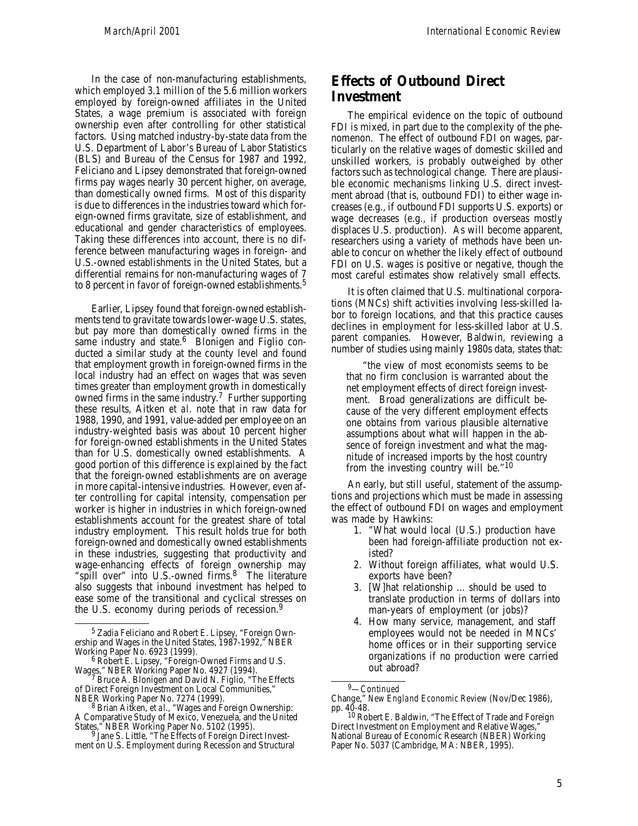In the case of non-manufacturing establishments, which employed 3.1 million of the 5.6 million workers employed by foreign-owned affiliates in the United States, a wage premium is associated with foreign ownership even after controlling for other statistical factors. Using matched industry-by-state data from the U.S. Department of Labor's Bureau of Labor Statistics (BLS) and Bureau of the Census for 1987 and 1992, Feliciano and Lipsey demonstrated that foreign-owned firms pay wages nearly 30 percent higher, on average, than domestically owned firms. Most of this disparity is due to differences in the industries toward which foreign-owned firms gravitate, size of establishment, and educational and gender characteristics of employees. Taking these differences into account, there is no difference between manufacturing wages in foreign- and U.S.-owned establishments in the United States, but a differential remains for non-manufacturing wages of 7 to 8 percent in favor of foreign-owned establishments.<sup>5</sup>

Earlier, Lipsey found that foreign-owned establishments tend to gravitate towards lower-wage U.S. states, but pay more than domestically owned firms in the same industry and state.<sup>6</sup> Blonigen and Figlio conducted a similar study at the county level and found that employment growth in foreign-owned firms in the local industry had an effect on wages that was seven times greater than employment growth in domestically owned firms in the same industry.<sup>7</sup> Further supporting these results, Aitken *et al.* note that in raw data for 1988, 1990, and 1991, value-added per employee on an industry-weighted basis was about 10 percent higher for foreign-owned establishments in the United States than for U.S. domestically owned establishments. A good portion of this difference is explained by the fact that the foreign-owned establishments are on average in more capital-intensive industries. However, even after controlling for capital intensity, compensation per worker is higher in industries in which foreign-owned establishments account for the greatest share of total industry employment. This result holds true for both foreign-owned and domestically owned establishments in these industries, suggesting that productivity and wage-enhancing effects of foreign ownership may "spill over" into U.S.-owned firms.<sup>8</sup> The literature also suggests that inbound investment has helped to ease some of the transitional and cyclical stresses on the U.S. economy during periods of recession. 9

#### **Effects of Outbound Direct Investment**

The empirical evidence on the topic of outbound FDI is mixed, in part due to the complexity of the phenomenon. The effect of outbound FDI on wages, particularly on the relative wages of domestic skilled and unskilled workers, is probably outweighed by other factors such as technological change. There are plausible economic mechanisms linking U.S. direct investment abroad (that is, outbound FDI) to either wage increases (e.g., if outbound FDI supports U.S. exports) or wage decreases (e.g., if production overseas mostly displaces U.S. production). As will become apparent, researchers using a variety of methods have been unable to concur on whether the likely effect of outbound FDI on U.S. wages is positive or negative, though the most careful estimates show relatively small effects.

It is often claimed that U.S. multinational corporations (MNCs) shift activities involving less-skilled labor to foreign locations, and that this practice causes declines in employment for less-skilled labor at U.S. parent companies. However, Baldwin, reviewing a number of studies using mainly 1980s data, states that:

"the view of most economists seems to be that no firm conclusion is warranted about the net employment effects of direct foreign investment. Broad generalizations are difficult because of the very different employment effects one obtains from various plausible alternative assumptions about what will happen in the absence of foreign investment and what the magnitude of increased imports by the host country from the investing country will be."<sup>10</sup>

An early, but still useful, statement of the assumptions and projections which must be made in assessing the effect of outbound FDI on wages and employment was made by Hawkins:

- 1. "What would local (U.S.) production have been had foreign-affiliate production not existed?
- 2. Without foreign affiliates, what would U.S. exports have been?
- 3. [W]hat relationship ... should be used to translate production in terms of dollars into man-years of employment (or jobs)?
- 4. How many service, management, and staff employees would not be needed in MNCs' home offices or in their supporting service organizations if no production were carried out abroad?

<sup>5</sup> Zadia Feliciano and Robert E. Lipsey, "Foreign Ownership and Wages in the United States, 1987-1992," NBER Working Paper No. 6923 (1999).

<sup>6</sup> Robert E. Lipsey, "Foreign-Owned Firms and U.S. Wages," NBER Working Paper No. 4927 (1994).

<sup>7</sup> Bruce A. Blonigen and David N. Figlio, "The Effects of Direct Foreign Investment on Local Communities," NBER Working Paper No. 7274 (1999).

<sup>8</sup> Brian Aitken, *et al.*, "Wages and Foreign Ownership: A Comparative Study of Mexico, Venezuela, and the United

States," NBER Working Paper No. 5102 (1995). 9 Jane S. Little, "The Effects of Foreign Direct Investment on U.S. Employment during Recession and Structural

<sup>9</sup>—*Continued*

Change," *New England Economic Review* (Nov/Dec 1986),

pp. 40-48. 10 Robert E. Baldwin, "The Effect of Trade and Foreign Direct Investment on Employment and Relative Wages," National Bureau of Economic Research (NBER) Working Paper No. 5037 (Cambridge, MA: NBER, 1995).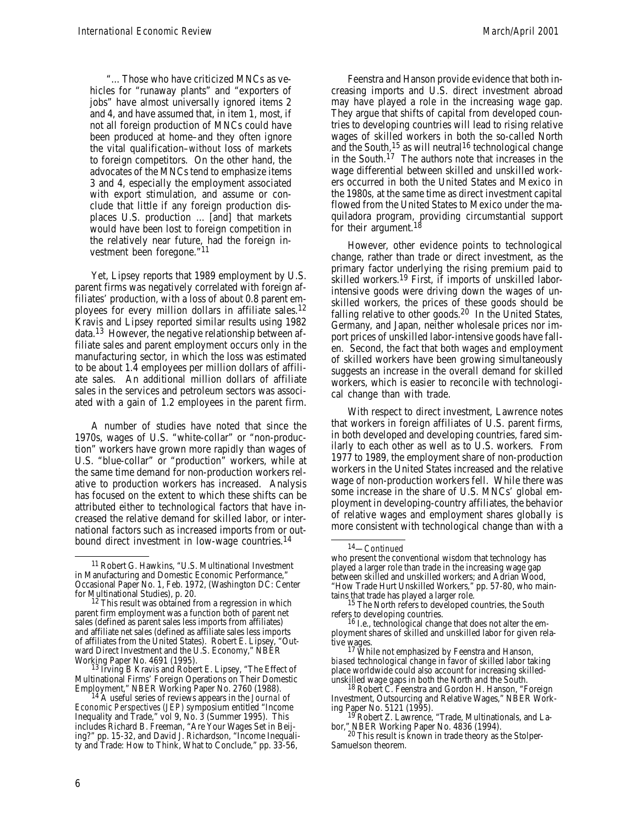"... Those who have criticized MNCs as vehicles for "runaway plants" and "exporters of jobs" have almost universally ignored items 2 and 4, and have assumed that, in item 1, most, if not all foreign production of MNCs could have been produced at home–and they often ignore the vital qualification–*without* loss of markets to foreign competitors. On the other hand, the advocates of the MNCs tend to emphasize items 3 and 4, especially the employment associated with export stimulation, and assume or conclude that little if any foreign production displaces U.S. production ... [and] that markets would have been lost to foreign competition in the relatively near future, had the foreign investment been foregone."<sup>11</sup>

Yet, Lipsey reports that 1989 employment by U.S. parent firms was negatively correlated with foreign affiliates' production, with a loss of about 0.8 parent employees for every million dollars in affiliate sales.<sup>12</sup> Kravis and Lipsey reported similar results using 1982 data. <sup>13</sup> However, the negative relationship between affiliate sales and parent employment occurs only in the manufacturing sector, in which the loss was estimated to be about 1.4 employees per million dollars of affiliate sales. An additional million dollars of affiliate sales in the services and petroleum sectors was associated with a gain of 1.2 employees in the parent firm.

A number of studies have noted that since the 1970s, wages of U.S. "white-collar" or "non-production" workers have grown more rapidly than wages of U.S. "blue-collar" or "production" workers, while at the same time demand for non-production workers relative to production workers has increased. Analysis has focused on the extent to which these shifts can be attributed either to technological factors that have increased the relative demand for skilled labor, or international factors such as increased imports from or outbound direct investment in low-wage countries.<sup>14</sup>

13 Irving B Kravis and Robert E. Lipsey, "The Effect of Multinational Firms' Foreign Operations on Their Domestic Employment," NBER Working Paper No. 2760 (1988).

14 A useful series of reviews appears in the *Journal of Economic Perspectives (JEP)* symposium entitled "Income Inequality and Trade," vol 9, No. 3 (Summer 1995). This includes Richard B. Freeman, "Are Your Wages Set in Beijing?" pp. 15-32, and David J. Richardson, "Income Inequality and Trade: How to Think, What to Conclude," pp. 33-56,

Feenstra and Hanson provide evidence that both increasing imports and U.S. direct investment abroad may have played a role in the increasing wage gap. They argue that shifts of capital from developed countries to developing countries will lead to rising relative wages of skilled workers in both the so-called North and the South, <sup>15</sup> as will neutral<sup>16</sup> technological change in the South. <sup>17</sup> The authors note that increases in the wage differential between skilled and unskilled workers occurred in both the United States and Mexico in the 1980s, at the same time as direct investment capital flowed from the United States to Mexico under the maquiladora program, providing circumstantial support for their argument.<sup>18</sup>

However, other evidence points to technological change, rather than trade or direct investment, as the primary factor underlying the rising premium paid to skilled workers.<sup>19</sup> First, if imports of unskilled laborintensive goods were driving down the wages of unskilled workers, the prices of these goods should be falling relative to other goods.<sup>20</sup> In the United States, Germany, and Japan, neither wholesale prices nor import prices of unskilled labor-intensive goods have fallen. Second, the fact that both wages *and* employment of skilled workers have been growing simultaneously suggests an increase in the overall demand for skilled workers, which is easier to reconcile with technological change than with trade.

With respect to direct investment, Lawrence notes that workers in foreign affiliates of U.S. parent firms, in both developed and developing countries, fared similarly to each other as well as to U.S. workers. From 1977 to 1989, the employment share of non-production workers in the United States increased and the relative wage of non-production workers fell. While there was some increase in the share of U.S. MNCs' global employment in developing-country affiliates, the behavior of relative wages and employment shares globally is more consistent with technological change than with a

<sup>11</sup> Robert G. Hawkins, "U.S. Multinational Investment in Manufacturing and Domestic Economic Performance," Occasional Paper No. 1, Feb. 1972, (Washington DC: Center for Multinational Studies), p. 20.

<sup>&</sup>lt;sup>12</sup> This result was obtained from a regression in which parent firm employment was a function both of parent net sales (defined as parent sales less imports from affiliates) and affiliate net sales (defined as affiliate sales less imports of affiliates from the United States). Robert E. Lipsey, "Outward Direct Investment and the U.S. Economy," NBER Working Paper No. 4691 (1995).

<sup>14</sup>—*Continued*

who present the conventional wisdom that technology has played a larger role than trade in the increasing wage gap between skilled and unskilled workers; and Adrian Wood, "How Trade Hurt Unskilled Workers," pp. 57-80, who maintains that trade has played a larger role.

<sup>&</sup>lt;sup>5</sup> The North refers to developed countries, the South

refers to developing countries. 16 I.e., technological change that does not alter the employment shares of skilled and unskilled labor for given relative wages. 17 While not emphasized by Feenstra and Hanson,

*biased* technological change in favor of skilled labor taking place worldwide could also account for increasing skilledunskilled wage gaps in both the North and the South.

<sup>18</sup> Robert C. Feenstra and Gordon H. Hanson, "Foreign Investment, Outsourcing and Relative Wages," NBER Working Paper No. 5121 (1995).

<sup>&</sup>lt;sup>19</sup> Robert Z. Lawrence, "Trade, Multinationals, and Labor," NBER Working Paper No. 4836 (1994). 20 This result is known in trade theory as the Stolper-

Samuelson theorem.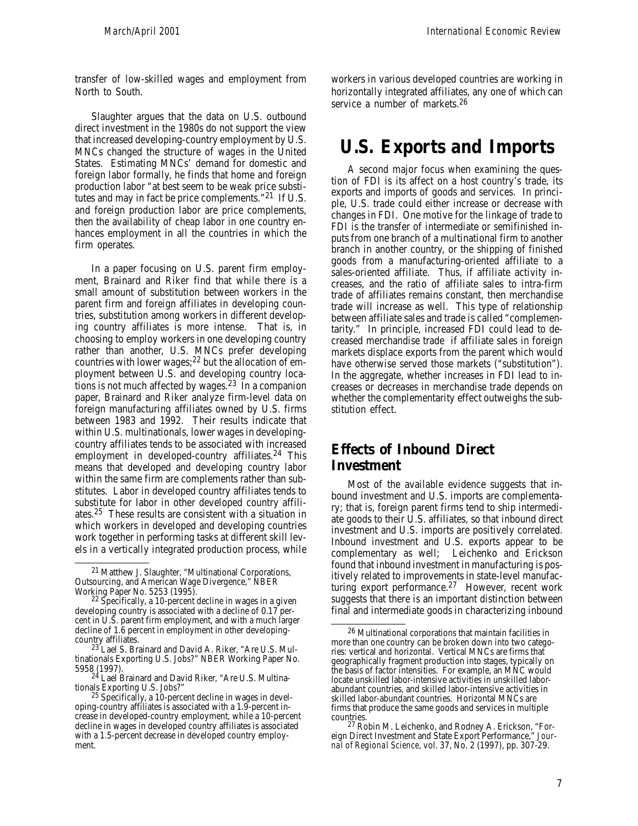transfer of low-skilled wages and employment from North to South.

Slaughter argues that the data on U.S. outbound direct investment in the 1980s do not support the view that increased developing-country employment by U.S. MNCs changed the structure of wages in the United States. Estimating MNCs' demand for domestic and foreign labor formally, he finds that home and foreign production labor "at best seem to be weak price substitutes and may in fact be price complements."<sup>21</sup> If U.S. and foreign production labor are price complements, then the availability of cheap labor in one country enhances employment in all the countries in which the firm operates.

In a paper focusing on U.S. parent firm employment, Brainard and Riker find that while there is a small amount of substitution between workers in the parent firm and foreign affiliates in developing countries, substitution among workers in different developing country affiliates is more intense. That is, in choosing to employ workers in one developing country rather than another, U.S. MNCs prefer developing countries with lower wages; <sup>22</sup> but the allocation of employment between U.S. and developing country locations is not much affected by wages. $23$  In a companion paper, Brainard and Riker analyze firm-level data on foreign manufacturing affiliates owned by U.S. firms between 1983 and 1992. Their results indicate that within U.S. multinationals, lower wages in developingcountry affiliates tends to be associated with increased employment in developed-country affiliates.<sup>24</sup> This means that developed and developing country labor within the same firm are complements rather than substitutes. Labor in developed country affiliates tends to substitute for labor in other developed country affiliates. <sup>25</sup> These results are consistent with a situation in which workers in developed and developing countries work together in performing tasks at different skill levels in a vertically integrated production process, while workers in various developed countries are working in horizontally integrated affiliates, any one of which can service a number of markets. 26

### **U.S. Exports and Imports**

A second major focus when examining the question of FDI is its affect on a host country's trade, its exports and imports of goods and services. In principle, U.S. trade could either increase or decrease with changes in FDI. One motive for the linkage of trade to FDI is the transfer of intermediate or semifinished inputs from one branch of a multinational firm to another branch in another country, or the shipping of finished goods from a manufacturing-oriented affiliate to a sales-oriented affiliate. Thus, if affiliate activity increases, and the ratio of affiliate sales to intra-firm trade of affiliates remains constant, then merchandise trade will increase as well. This type of relationship between affiliate sales and trade is called "complementarity." In principle, increased FDI could lead to decreased merchandise trade if affiliate sales in foreign markets displace exports from the parent which would have otherwise served those markets ("substitution"). In the aggregate, whether increases in FDI lead to increases or decreases in merchandise trade depends on whether the complementarity effect outweighs the substitution effect.

#### **Effects of Inbound Direct Investment**

Most of the available evidence suggests that inbound investment and U.S. imports are complementary; that is, foreign parent firms tend to ship intermediate goods to their U.S. affiliates, so that inbound direct investment and U.S. imports are positively correlated. Inbound investment and U.S. exports appear to be complementary as well; Leichenko and Erickson found that inbound investment in manufacturing is positively related to improvements in state-level manufacturing export performance. <sup>27</sup> However, recent work suggests that there is an important distinction between final and intermediate goods in characterizing inbound

<sup>&</sup>lt;sup>21</sup> Matthew J. Slaughter, "Multinational Corporations, Outsourcing, and American Wage Divergence," NBER

Working Paper No. 5253 (1995). 22 Specifically, a 10-percent decline in wages in a given developing country is associated with a decline of 0.17 percent in U.S. parent firm employment, and with a much larger decline of 1.6 percent in employment in other developingcountry affiliates.

<sup>&</sup>lt;sup>23'</sup>Lael S. Brainard and David A. Riker, "Are U.S. Multinationals Exporting U.S. Jobs?" NBER Working Paper No. 5958 (1997).

<sup>&</sup>lt;sup>24</sup> Lael Brainard and David Riker, "Are U.S. Multinationals Exporting U.S. Jobs?"

<sup>&</sup>lt;sup>25</sup> Specifically, a 10-percent decline in wages in developing-country affiliates is associated with a 1.9-percent increase in developed-country employment, while a 10-percent decline in wages in developed country affiliates is associated with a 1.5-percent decrease in developed country employment.

<sup>26</sup> Multinational corporations that maintain facilities in more than one country can be broken down into two categories: vertical and horizontal. Vertical MNCs are firms that geographically fragment production into stages, typically on the basis of factor intensities. For example, an MNC would locate unskilled labor-intensive activities in unskilled laborabundant countries, and skilled labor-intensive activities in skilled labor-abundant countries. Horizontal MNCs are firms that produce the same goods and services in multiple countries.

<sup>27</sup> Robin M. Leichenko, and Rodney A. Erickson, "Foreign Direct Investment and State Export Performance," *Journal of Regional Science,* vol. 37, No. 2 (1997), pp. 307-29.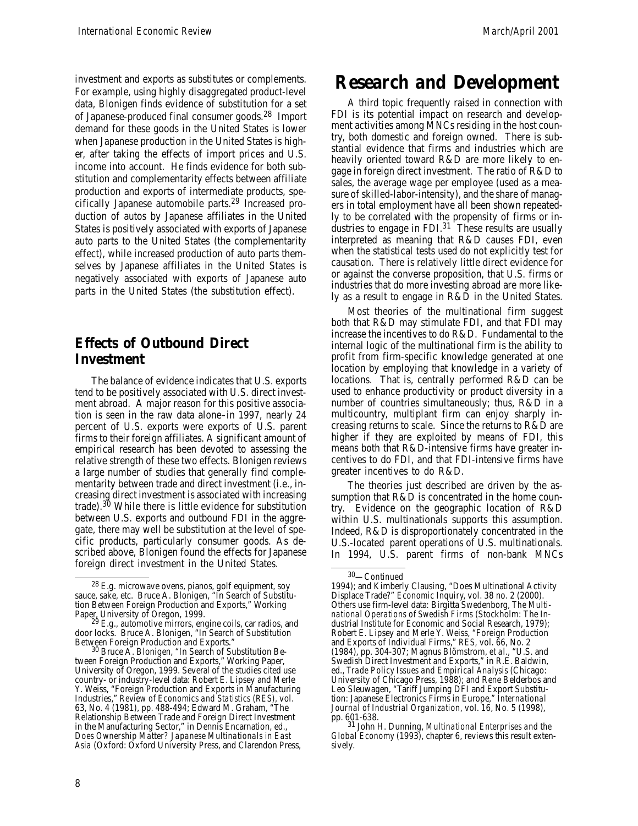investment and exports as substitutes or complements. For example, using highly disaggregated product-level data, Blonigen finds evidence of substitution for a set of Japanese-produced final consumer goods. 28 Import demand for these goods in the United States is lower when Japanese production in the United States is higher, after taking the effects of import prices and U.S. income into account. He finds evidence for both substitution and complementarity effects between affiliate production and exports of intermediate products, specifically Japanese automobile parts. 29 Increased production of autos by Japanese affiliates in the United States is positively associated with exports of Japanese auto parts to the United States (the complementarity effect), while increased production of auto parts themselves by Japanese affiliates in the United States is negatively associated with exports of Japanese auto parts in the United States (the substitution effect).

#### **Effects of Outbound Direct Investment**

The balance of evidence indicates that U.S. exports tend to be positively associated with U.S. direct investment abroad. A major reason for this positive association is seen in the raw data alone–in 1997, nearly 24 percent of U.S. exports were exports of U.S. parent firms to their foreign affiliates. A significant amount of empirical research has been devoted to assessing the relative strength of these two effects. Blonigen reviews a large number of studies that generally find complementarity between trade and direct investment (i.e., increasing direct investment is associated with increasing trade).<sup>30</sup> While there is little evidence for substitution between U.S. exports and outbound FDI in the aggregate, there may well be substitution at the level of specific products, particularly consumer goods. As described above, Blonigen found the effects for Japanese foreign direct investment in the United States.

### **Research and Development**

A third topic frequently raised in connection with FDI is its potential impact on research and development activities among MNCs residing in the host country, both domestic and foreign owned. There is substantial evidence that firms and industries which are heavily oriented toward R&D are more likely to engage in foreign direct investment. The ratio of R&D to sales, the average wage per employee (used as a measure of skilled-labor-intensity), and the share of managers in total employment have all been shown repeatedly to be correlated with the propensity of firms or industries to engage in FDI.<sup>31</sup> These results are usually interpreted as meaning that R&D causes FDI, even when the statistical tests used do not explicitly test for causation. There is relatively little direct evidence for or against the converse proposition, that U.S. firms or industries that do more investing abroad are more likely as a result to engage in R&D in the United States.

Most theories of the multinational firm suggest both that R&D may stimulate FDI, and that FDI may increase the incentives to do R&D. Fundamental to the internal logic of the multinational firm is the ability to profit from firm-specific knowledge generated at one location by employing that knowledge in a variety of locations. That is, centrally performed R&D can be used to enhance productivity or product diversity in a number of countries simultaneously; thus, R&D in a multicountry, multiplant firm can enjoy sharply increasing returns to scale. Since the returns to R&D are higher if they are exploited by means of FDI, this means both that R&D-intensive firms have greater incentives to do FDI, and that FDI-intensive firms have greater incentives to do R&D.

The theories just described are driven by the assumption that R&D is concentrated in the home country. Evidence on the geographic location of R&D within U.S. multinationals supports this assumption. Indeed, R&D is disproportionately concentrated in the U.S.-located parent operations of U.S. multinationals*.* In 1994, U.S. parent firms of non-bank MNCs

<sup>&</sup>lt;sup>28</sup> E.g. microwave ovens, pianos, golf equipment, soy sauce, sake, etc. Bruce A. Blonigen, "In Search of Substitution Between Foreign Production and Exports," Working Paper, University of Oregon, 1999. 29 E.g., automotive mirrors, engine coils, car radios, and

door locks. Bruce A. Blonigen, "In Search of Substitution

Between Foreign Production and Exports." 30 Bruce A. Blonigen, "In Search of Substitution Between Foreign Production and Exports," Working Paper, University of Oregon, 1999. Several of the studies cited use country- or industry-level data: Robert E. Lipsey and Merle Y. Weiss, "Foreign Production and Exports in Manufacturing Industries," *Review of Economics and Statistics (RES),* vol. 63, No. 4 (1981), pp. 488-494; Edward M. Graham, "The Relationship Between Trade and Foreign Direct Investment in the Manufacturing Sector," in Dennis Encarnation, ed., *Does Ownership Matter? Japanese Multinationals in East Asia* (Oxford: Oxford University Press, and Clarendon Press,

<sup>30</sup>—*Continued*

<sup>1994);</sup> and Kimberly Clausing, "Does Multinational Activity Displace Trade?" *Economic Inquiry*, vol. 38 no. 2 (2000). Others use firm-level data: Birgitta Swedenborg, *The Multinational Operations of Swedish Firms* (Stockholm: The Industrial Institute for Economic and Social Research, 1979); Robert E. Lipsey and Merle Y. Weiss, "Foreign Production and Exports of Individual Firms," *RES,* vol. 66, No. 2 (1984), pp. 304-307; Magnus Blömstrom, *et al.*, "U.S. and Swedish Direct Investment and Exports," in R.E. Baldwin, ed., *Trade Policy Issues and Empirical Analysis* (Chicago: University of Chicago Press, 1988); and Rene Belderbos and Leo Sleuwagen, "Tariff Jumping DFI and Export Substitution: Japanese Electronics Firms in Europe," *International Journal of Industrial Organization,* vol. 16, No. 5 (1998), pp. 601-638.

<sup>31</sup> John H. Dunning, *Multinational Enterprises and the Global Economy* (1993), chapter 6, reviews this result extensively.